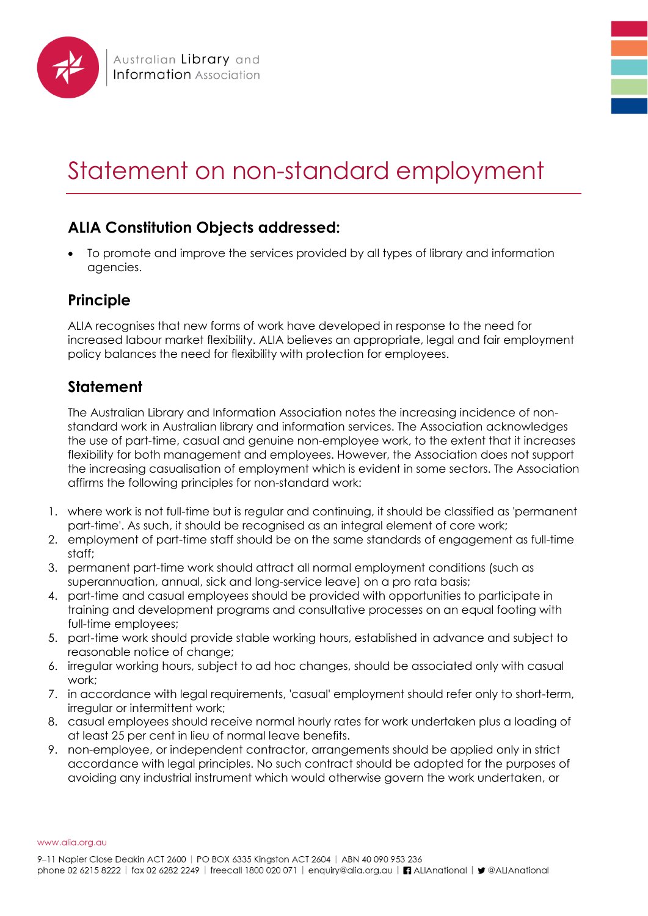

## Statement on non-standard employment

## **ALIA Constitution Objects addressed:**

• To promote and improve the services provided by all types of library and information agencies.

## **Principle**

ALIA recognises that new forms of work have developed in response to the need for increased labour market flexibility. ALIA believes an appropriate, legal and fair employment policy balances the need for flexibility with protection for employees.

## **Statement**

The Australian Library and Information Association notes the increasing incidence of nonstandard work in Australian library and information services. The Association acknowledges the use of part-time, casual and genuine non-employee work, to the extent that it increases flexibility for both management and employees. However, the Association does not support the increasing casualisation of employment which is evident in some sectors. The Association affirms the following principles for non-standard work:

- 1. where work is not full-time but is regular and continuing, it should be classified as 'permanent part-time'. As such, it should be recognised as an integral element of core work;
- 2. employment of part-time staff should be on the same standards of engagement as full-time staff;
- 3. permanent part-time work should attract all normal employment conditions (such as superannuation, annual, sick and long-service leave) on a pro rata basis;
- 4. part-time and casual employees should be provided with opportunities to participate in training and development programs and consultative processes on an equal footing with full-time employees;
- 5. part-time work should provide stable working hours, established in advance and subject to reasonable notice of change;
- 6. irregular working hours, subject to ad hoc changes, should be associated only with casual work;
- 7. in accordance with legal requirements, 'casual' employment should refer only to short-term, irregular or intermittent work;
- 8. casual employees should receive normal hourly rates for work undertaken plus a loading of at least 25 per cent in lieu of normal leave benefits.
- 9. non-employee, or independent contractor, arrangements should be applied only in strict accordance with legal principles. No such contract should be adopted for the purposes of avoiding any industrial instrument which would otherwise govern the work undertaken, or

www.alia.org.au

9-11 Napier Close Deakin ACT 2600 | PO BOX 6335 Kingston ACT 2604 | ABN 40 090 953 236